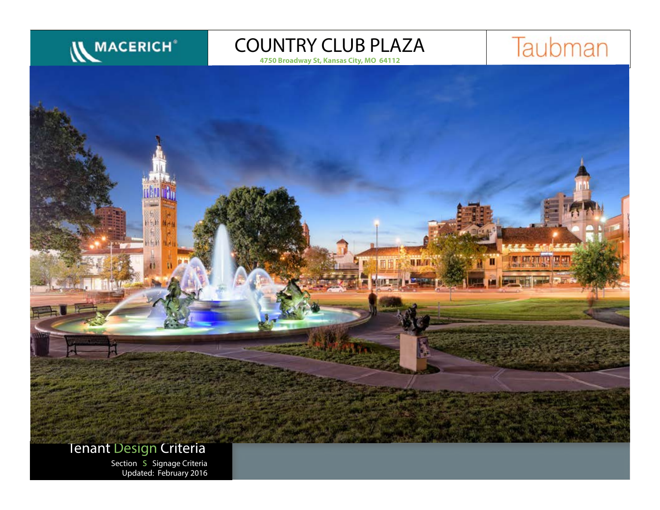

**4750 Broadway St, Kansas City, MO 64112**



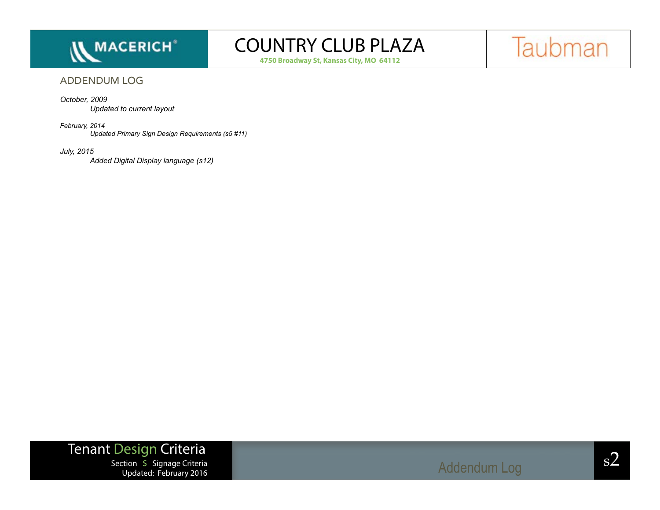

**4750 Broadway St, Kansas City, MO 64112**



### ADDENDUM LOG

#### *October, 2009*

*Updated to current layout*

#### *February, 2014*

*Updated Primary Sign Design Requirements (s5 #11)*

#### *July, 2015*

*Added Digital Display language (s12)*

## Tenant Design Criteria

 $S^2$ <br>Section S Signage Criteria samples of the section structure  $S^2$ Updated: February 2016

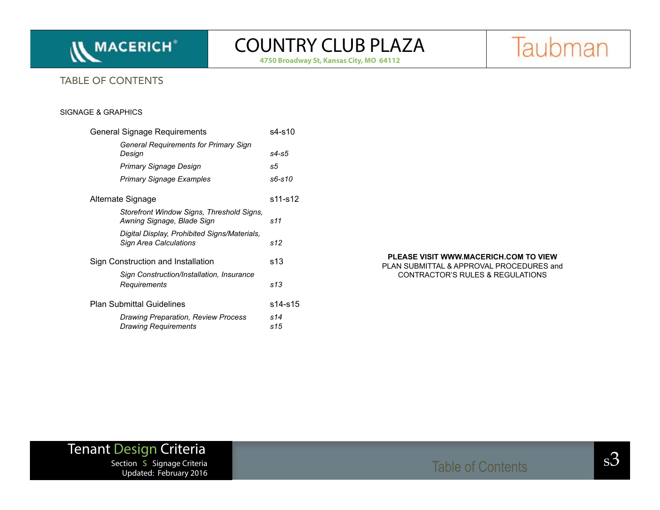

**4750 Broadway St, Kansas City, MO 64112**

Taubman

### TABLE OF CONTENTS

#### SIGNAGE & GRAPHICS

| General Signage Requirements                                              | s4-s10     |
|---------------------------------------------------------------------------|------------|
| <b>General Requirements for Primary Sign</b><br>Design                    | s4-s5      |
| Primary Signage Design                                                    | s5         |
| <b>Primary Signage Examples</b>                                           | s6-s10     |
| Alternate Signage                                                         | s11-s12    |
| Storefront Window Signs, Threshold Signs,<br>Awning Signage, Blade Sign   | s11        |
| Digital Display, Prohibited Signs/Materials,<br>Sign Area Calculations    | s12        |
| Sign Construction and Installation                                        | s13        |
| Sign Construction/Installation, Insurance<br>Requirements                 | s13        |
| <b>Plan Submittal Guidelines</b>                                          | s14-s15    |
| <b>Drawing Preparation, Review Process</b><br><b>Drawing Requirements</b> | s14<br>s15 |
|                                                                           |            |

#### **PLEASE VISIT WWW.MACERICH.COM TO VIEW**

PLAN SUBMITTAL & APPROVAL PROCEDURES and CONTRACTOR'S RULES & REGULATIONS

# **Tenant Design Criteria**<br>Section S Signage Criteria

Section s Signage Criteria s3 Table of Contents Updated: February 2016

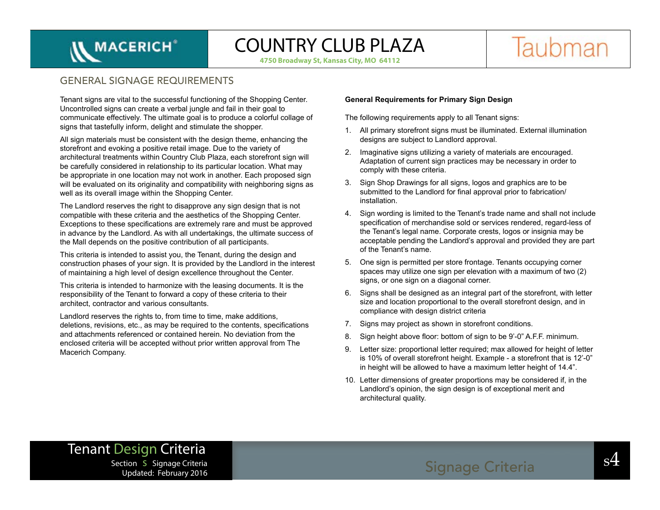# **IN MACERICH<sup>®</sup>**

# COUNTRY CLUB PLAZA

**4750 Broadway St, Kansas City, MO 64112**



### GENERAL SIGNAGE REQUIREMENTS

Tenant signs are vital to the successful functioning of the Shopping Center. Uncontrolled signs can create a verbal jungle and fail in their goal to communicate effectively. The ultimate goal is to produce a colorful collage of signs that tastefully inform, delight and stimulate the shopper.

All sign materials must be consistent with the design theme, enhancing the storefront and evoking a positive retail image. Due to the variety of architectural treatments within Country Club Plaza, each storefront sign will be carefully considered in relationship to its particular location. What may be appropriate in one location may not work in another. Each proposed sign will be evaluated on its originality and compatibility with neighboring signs as well as its overall image within the Shopping Center.

The Landlord reserves the right to disapprove any sign design that is not compatible with these criteria and the aesthetics of the Shopping Center. Exceptions to these specifications are extremely rare and must be approved in advance by the Landlord. As with all undertakings, the ultimate success of the Mall depends on the positive contribution of all participants.

This criteria is intended to assist you, the Tenant, during the design and construction phases of your sign. It is provided by the Landlord in the interest of maintaining a high level of design excellence throughout the Center.

This criteria is intended to harmonize with the leasing documents. It is the responsibility of the Tenant to forward a copy of these criteria to their architect, contractor and various consultants.

Landlord reserves the rights to, from time to time, make additions, deletions, revisions, etc., as may be required to the contents, specifications and attachments referenced or contained herein. No deviation from the enclosed criteria will be accepted without prior written approval from The Macerich Company.

#### **General Requirements for Primary Sign Design**

The following requirements apply to all Tenant signs:

- 1. All primary storefront signs must be illuminated. External illumination designs are subject to Landlord approval.
- 2. Imaginative signs utilizing a variety of materials are encouraged. Adaptation of current sign practices may be necessary in order to comply with these criteria.
- 3. Sign Shop Drawings for all signs, logos and graphics are to be submitted to the Landlord for final approval prior to fabrication/ installation.
- 4. Sign wording is limited to the Tenant's trade name and shall not include specification of merchandise sold or services rendered, regard-less of the Tenant's legal name. Corporate crests, logos or insignia may be acceptable pending the Landlord's approval and provided they are part of the Tenant's name.
- 5. One sign is permitted per store frontage. Tenants occupying corner spaces may utilize one sign per elevation with a maximum of two (2) signs, or one sign on a diagonal corner.
- 6. Signs shall be designed as an integral part of the storefront, with letter size and location proportional to the overall storefront design, and in compliance with design district criteria
- 7. Signs may project as shown in storefront conditions.
- 8. Sign height above floor: bottom of sign to be 9'-0" A.F.F. minimum.
- 9. Letter size: proportional letter required; max allowed for height of letter is 10% of overall storefront height. Example - a storefront that is 12'-0" in height will be allowed to have a maximum letter height of 14.4".
- 10. Letter dimensions of greater proportions may be considered if, in the Landlord's opinion, the sign design is of exceptional merit and architectural quality.

### Tenant Design Criteria section s Signage Criteria and Signage Criteria and Signage Criteria and Signage Criteria and Signage Criteria Updated: February 2016

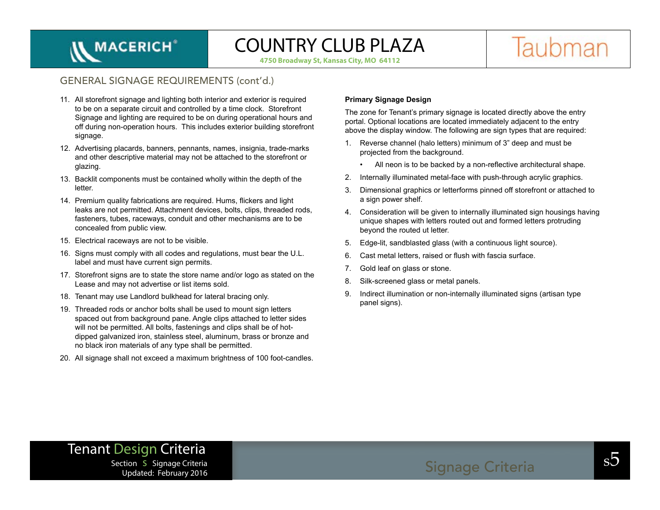Taubman

**4750 Broadway St, Kansas City, MO 64112**

### GENERAL SIGNAGE REQUIREMENTS (cont'd.)

- 11. All storefront signage and lighting both interior and exterior is required to be on a separate circuit and controlled by a time clock. Storefront Signage and lighting are required to be on during operational hours and off during non-operation hours. This includes exterior building storefront signage.
- 12. Advertising placards, banners, pennants, names, insignia, trade-marks and other descriptive material may not be attached to the storefront or glazing.
- 13. Backlit components must be contained wholly within the depth of the letter.
- 14. Premium quality fabrications are required. Hums, flickers and light leaks are not permitted. Attachment devices, bolts, clips, threaded rods, fasteners, tubes, raceways, conduit and other mechanisms are to be concealed from public view.
- 15. Electrical raceways are not to be visible.

**IN MACERICH<sup>®</sup>** 

- 16. Signs must comply with all codes and regulations, must bear the U.L. label and must have current sign permits.
- 17. Storefront signs are to state the store name and/or logo as stated on the Lease and may not advertise or list items sold.
- 18. Tenant may use Landlord bulkhead for lateral bracing only.
- 19. Threaded rods or anchor bolts shall be used to mount sign letters spaced out from background pane. Angle clips attached to letter sides will not be permitted. All bolts, fastenings and clips shall be of hotdipped galvanized iron, stainless steel, aluminum, brass or bronze and no black iron materials of any type shall be permitted.
- 20. All signage shall not exceed a maximum brightness of 100 foot-candles.

#### **Primary Signage Design**

The zone for Tenant's primary signage is located directly above the entry portal. Optional locations are located immediately adjacent to the entry above the display window. The following are sign types that are required:

- 1. Reverse channel (halo letters) minimum of 3" deep and must be projected from the background.
	- All neon is to be backed by a non-reflective architectural shape.
- 2. Internally illuminated metal-face with push-through acrylic graphics.
- 3. Dimensional graphics or letterforms pinned off storefront or attached to a sign power shelf.
- 4. Consideration will be given to internally illuminated sign housings having unique shapes with letters routed out and formed letters protruding beyond the routed ut letter.
- 5. Edge-lit, sandblasted glass (with a continuous light source).
- 6. Cast metal letters, raised or flush with fascia surface.
- 7. Gold leaf on glass or stone.
- 8. Silk-screened glass or metal panels.
- 9. Indirect illumination or non-internally illuminated signs (artisan type panel signs).

### Tenant Design Criteria

section s Signage Criteria and Signage Criteria and Signage Criteria and Signage Criteria and Society and Society and Signage Criteria and Signage Criteria and Society and Society and Signage Criteria and Society and Socie Updated: February 2016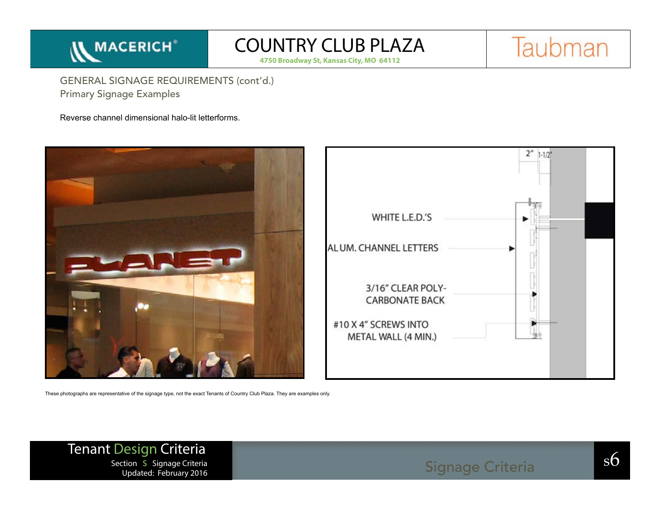

**4750 Broadway St, Kansas City, MO 64112**



Primary Signage Examples GENERAL SIGNAGE REQUIREMENTS (cont'd.)

Reverse channel dimensional halo-lit letterforms.



These photographs are representative of the signage type, not the exact Tenants of Country Club Plaza. They are examples only.

Tenant Design Criteria  $S_{\text{S}}$  Section s Signage Criteria Section s Signage Criteria Section s Signage Criteria Section s Signage Criteria Section s Signage Criteria Section s Signage Criteria Section s Signage Criteria Section s Signage Crit Updated: February 2016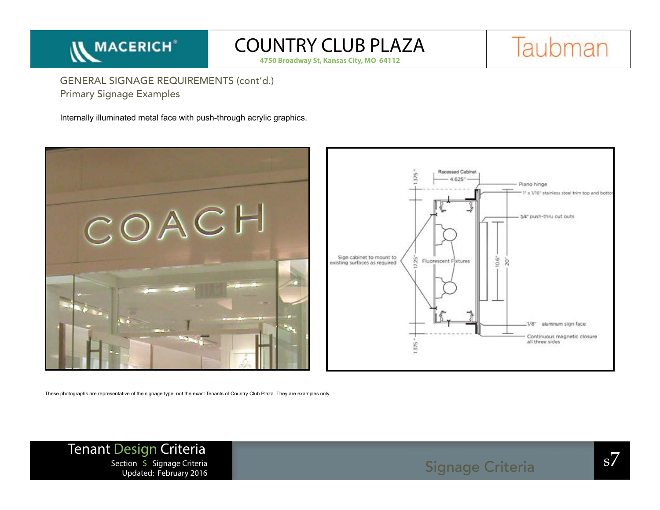

**4750 Broadway St, Kansas City, MO 64112**



Primary Signage Examples GENERAL SIGNAGE REQUIREMENTS (cont'd.)

Internally illuminated metal face with push-through acrylic graphics.





These photographs are representative of the signage type, not the exact Tenants of Country Club Plaza. They are examples only.

Tenant Design Criteria section s Signage Criteria<br>
Signage Criteria Section s Signage Criteria<br>
Updated: February 2016 Updated: February 2016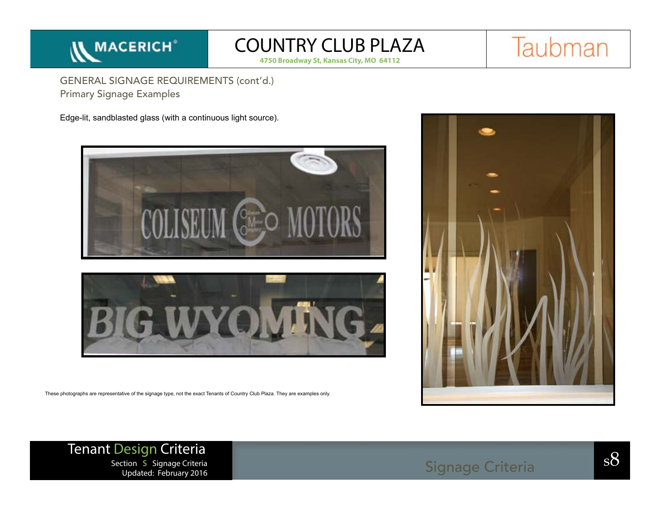

**4750 Broadway St, Kansas City, MO 64112**



Primary Signage Examples GENERAL SIGNAGE REQUIREMENTS (cont'd.)

Edge-lit, sandblasted glass (with a continuous light source).





These photographs are representative of the signage type, not the exact Tenants of Country Club Plaza. They are examples only.

Tenant Design Criteria section s Signage Criteria<br>
Section s Signage Criteria<br>
Updated: February 2016 Updated: February 2016

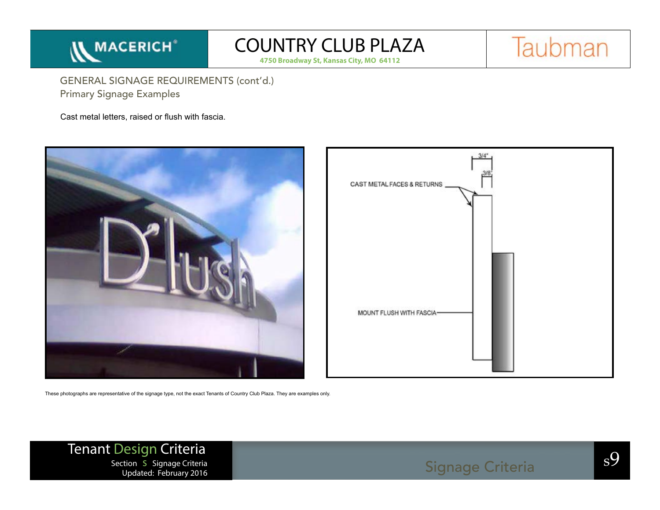

**4750 Broadway St, Kansas City, MO 64112**



Primary Signage Examples GENERAL SIGNAGE REQUIREMENTS (cont'd.)

Cast metal letters, raised or flush with fascia.





These photographs are representative of the signage type, not the exact Tenants of Country Club Plaza. They are examples only.

Tenant Design Criteria section s Signage Criteria<br>
Section s Signage Criteria Signage Criteria Signage Criteria Signage Criteria Shahara Shahara Shahara Shahar<br>
Undated: February 2016 Updated: February 2016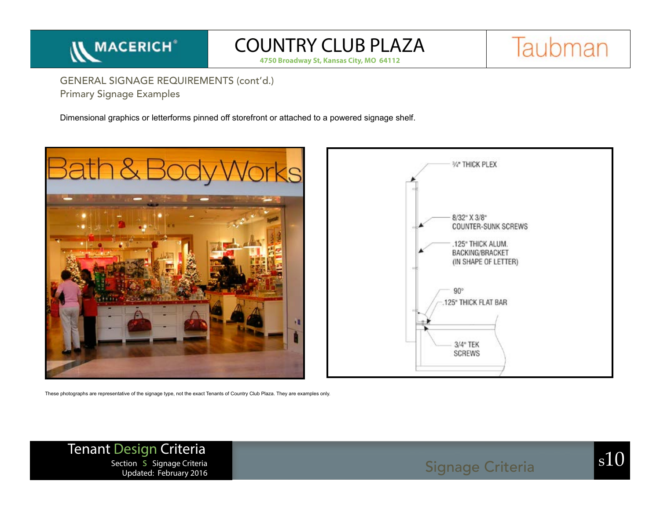

**4750 Broadway St, Kansas City, MO 64112**



Primary Signage Examples GENERAL SIGNAGE REQUIREMENTS (cont'd.)

Dimensional graphics or letterforms pinned off storefront or attached to a powered signage shelf.





These photographs are representative of the signage type, not the exact Tenants of Country Club Plaza. They are examples only.

Tenant Design Criteria section s Signage Criteria<br>Section s Signage Criteria Signage Criteria Signage Criteria Signage Signage Criteria S10 Updated: February 2016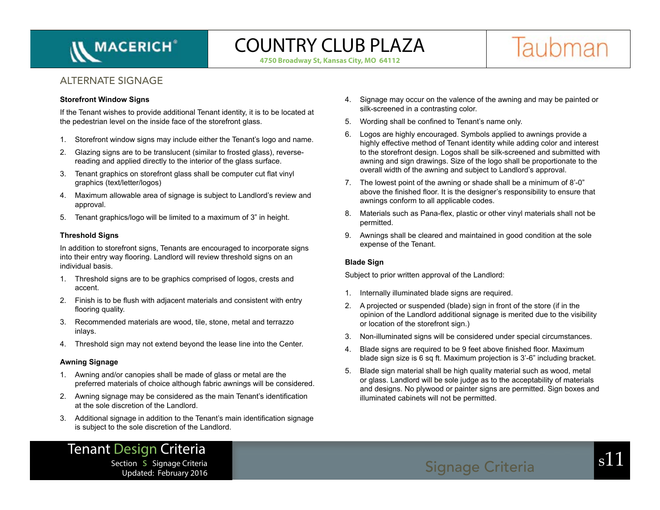

**4750 Broadway St, Kansas City, MO 64112**



### ALTERNATE SIGNAGE

#### **Storefront Window Signs**

If the Tenant wishes to provide additional Tenant identity, it is to be located at the pedestrian level on the inside face of the storefront glass.

- 1. Storefront window signs may include either the Tenant's logo and name.
- 2. Glazing signs are to be translucent (similar to frosted glass), reversereading and applied directly to the interior of the glass surface.
- 3. Tenant graphics on storefront glass shall be computer cut flat vinyl graphics (text/letter/logos)
- 4. Maximum allowable area of signage is subject to Landlord's review and approval.
- 5. Tenant graphics/logo will be limited to a maximum of 3" in height.

### **Threshold Signs**

In addition to storefront signs, Tenants are encouraged to incorporate signs into their entry way flooring. Landlord will review threshold signs on an individual basis.

- 1. Threshold signs are to be graphics comprised of logos, crests and accent.
- 2. Finish is to be flush with adjacent materials and consistent with entry flooring quality.
- 3. Recommended materials are wood, tile, stone, metal and terrazzo inlays.
- 4. Threshold sign may not extend beyond the lease line into the Center.

### **Awning Signage**

- 1. Awning and/or canopies shall be made of glass or metal are the preferred materials of choice although fabric awnings will be considered.
- 2. Awning signage may be considered as the main Tenant's identification at the sole discretion of the Landlord.
- 3. Additional signage in addition to the Tenant's main identification signage is subject to the sole discretion of the Landlord.
- 4. Signage may occur on the valence of the awning and may be painted or silk-screened in a contrasting color.
- 5. Wording shall be confined to Tenant's name only.
- 6. Logos are highly encouraged. Symbols applied to awnings provide a highly effective method of Tenant identity while adding color and interest to the storefront design. Logos shall be silk-screened and submitted with awning and sign drawings. Size of the logo shall be proportionate to the overall width of the awning and subject to Landlord's approval.
- 7. The lowest point of the awning or shade shall be a minimum of 8'-0" above the finished floor. It is the designer's responsibility to ensure that awnings conform to all applicable codes.
- 8. Materials such as Pana-flex, plastic or other vinyl materials shall not be permitted.
- 9. Awnings shall be cleared and maintained in good condition at the sole expense of the Tenant.

### **Blade Sign**

Subject to prior written approval of the Landlord:

- 1. Internally illuminated blade signs are required.
- 2. A projected or suspended (blade) sign in front of the store (if in the opinion of the Landlord additional signage is merited due to the visibility or location of the storefront sign.)
- 3. Non-illuminated signs will be considered under special circumstances.
- 4. Blade signs are required to be 9 feet above finished floor. Maximum blade sign size is 6 sq ft. Maximum projection is 3'-6" including bracket.
- 5. Blade sign material shall be high quality material such as wood, metal or glass. Landlord will be sole judge as to the acceptability of materials and designs. No plywood or painter signs are permitted. Sign boxes and illuminated cabinets will not be permitted.

### Tenant Design Criteria Section S Signage Criteria Section S Signage Criteria Signage Criteria Signage Criteria S11 Updated: February 2016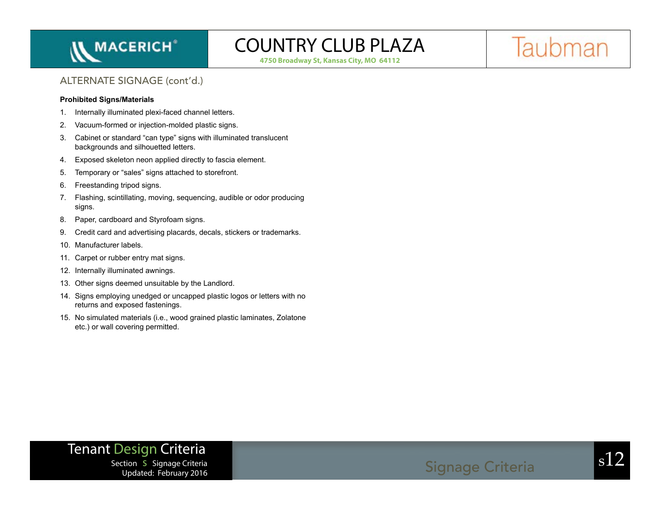

**4750 Broadway St, Kansas City, MO 64112**

Taubman

### ALTERNATE SIGNAGE (cont'd.)

#### **Prohibited Signs/Materials**

- 1. Internally illuminated plexi-faced channel letters.
- 2. Vacuum-formed or injection-molded plastic signs.
- 3. Cabinet or standard "can type" signs with illuminated translucent backgrounds and silhouetted letters.
- 4. Exposed skeleton neon applied directly to fascia element.
- 5. Temporary or "sales" signs attached to storefront.
- 6. Freestanding tripod signs.
- 7. Flashing, scintillating, moving, sequencing, audible or odor producing signs.
- 8. Paper, cardboard and Styrofoam signs.
- 9. Credit card and advertising placards, decals, stickers or trademarks.
- 10. Manufacturer labels.
- 11. Carpet or rubber entry mat signs.
- 12. Internally illuminated awnings.
- 13. Other signs deemed unsuitable by the Landlord.
- 14. Signs employing unedged or uncapped plastic logos or letters with no returns and exposed fastenings.
- 15. No simulated materials (i.e., wood grained plastic laminates, Zolatone etc.) or wall covering permitted.

## Tenant Design Criteria

section s Signage Criteria<br>Section s Signage Criteria Signage Criteria Signage Criteria Signage Signage Criteria Signage Signage Signage Updated: February 2016

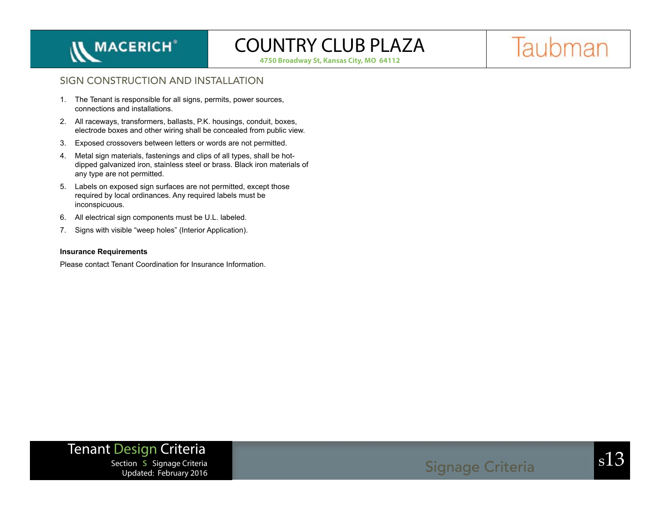

**4750 Broadway St, Kansas City, MO 64112**

Taubman

### SIGN CONSTRUCTION AND INSTALLATION

- 1. The Tenant is responsible for all signs, permits, power sources, connections and installations.
- 2. All raceways, transformers, ballasts, P.K. housings, conduit, boxes, electrode boxes and other wiring shall be concealed from public view.
- 3. Exposed crossovers between letters or words are not permitted.
- 4. Metal sign materials, fastenings and clips of all types, shall be hotdipped galvanized iron, stainless steel or brass. Black iron materials of any type are not permitted.
- 5. Labels on exposed sign surfaces are not permitted, except those required by local ordinances. Any required labels must be inconspicuous.
- 6. All electrical sign components must be U.L. labeled.
- 7. Signs with visible "weep holes" (Interior Application).

#### **Insurance Requirements**

Please contact Tenant Coordination for Insurance Information.

## Tenant Design Criteria

section s Signage Criteria<br>
Undated: February 2016 Updated: February 2016

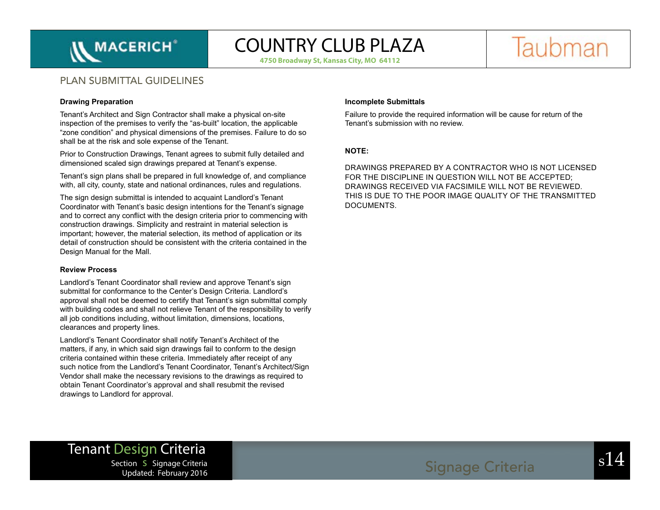

**4750 Broadway St, Kansas City, MO 64112**



### PLAN SUBMITTAL GUIDELINES

#### **Drawing Preparation**

Tenant's Architect and Sign Contractor shall make a physical on-site inspection of the premises to verify the "as-built" location, the applicable "zone condition" and physical dimensions of the premises. Failure to do so shall be at the risk and sole expense of the Tenant.

Prior to Construction Drawings, Tenant agrees to submit fully detailed and dimensioned scaled sign drawings prepared at Tenant's expense.

Tenant's sign plans shall be prepared in full knowledge of, and compliance with, all city, county, state and national ordinances, rules and regulations.

The sign design submittal is intended to acquaint Landlord's Tenant Coordinator with Tenant's basic design intentions for the Tenant's signage and to correct any conflict with the design criteria prior to commencing with construction drawings. Simplicity and restraint in material selection is important; however, the material selection, its method of application or its detail of construction should be consistent with the criteria contained in the Design Manual for the Mall.

#### **Review Process**

Landlord's Tenant Coordinator shall review and approve Tenant's sign submittal for conformance to the Center's Design Criteria. Landlord's approval shall not be deemed to certify that Tenant's sign submittal comply with building codes and shall not relieve Tenant of the responsibility to verify all job conditions including, without limitation, dimensions, locations, clearances and property lines.

Landlord's Tenant Coordinator shall notify Tenant's Architect of the matters, if any, in which said sign drawings fail to conform to the design criteria contained within these criteria. Immediately after receipt of any such notice from the Landlord's Tenant Coordinator, Tenant's Architect/Sign Vendor shall make the necessary revisions to the drawings as required to obtain Tenant Coordinator's approval and shall resubmit the revised drawings to Landlord for approval.

#### **Incomplete Submittals**

Failure to provide the required information will be cause for return of the Tenant's submission with no review.

### **NOTE:**

DRAWINGS PREPARED BY A CONTRACTOR WHO IS NOT LICENSED FOR THE DISCIPLINE IN QUESTION WILL NOT BE ACCEPTED; DRAWINGS RECEIVED VIA FACSIMILE WILL NOT BE REVIEWED. THIS IS DUE TO THE POOR IMAGE QUALITY OF THE TRANSMITTED DOCUMENTS.

# Tenant Design Criteria

Updated: February 2016